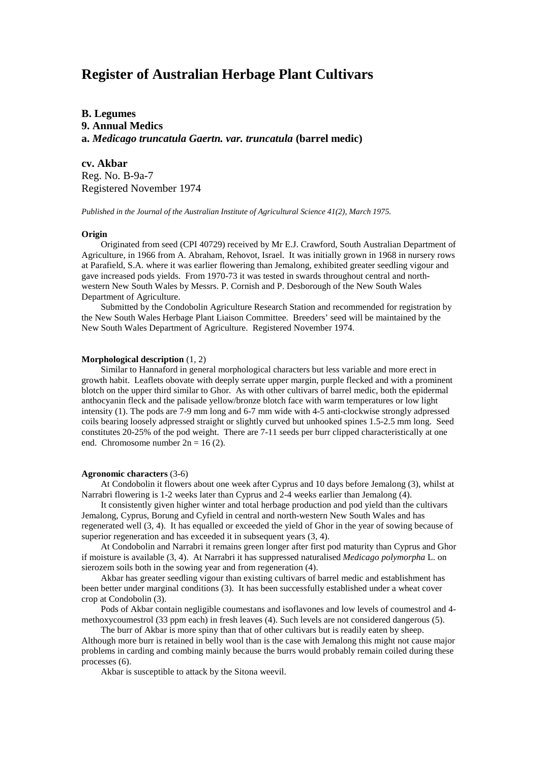# **Register of Australian Herbage Plant Cultivars**

**B. Legumes 9. Annual Medics a.** *Medicago truncatula Gaertn. var. truncatula* **(barrel medic)**

**cv. Akbar**

Reg. No. B-9a-7 Registered November 1974

*Published in the Journal of the Australian Institute of Agricultural Science 41(2), March 1975.*

## **Origin**

Originated from seed (CPI 40729) received by Mr E.J. Crawford, South Australian Department of Agriculture, in 1966 from A. Abraham, Rehovot, Israel. It was initially grown in 1968 in nursery rows at Parafield, S.A. where it was earlier flowering than Jemalong, exhibited greater seedling vigour and gave increased pods yields. From 1970-73 it was tested in swards throughout central and northwestern New South Wales by Messrs. P. Cornish and P. Desborough of the New South Wales Department of Agriculture.

Submitted by the Condobolin Agriculture Research Station and recommended for registration by the New South Wales Herbage Plant Liaison Committee. Breeders' seed will be maintained by the New South Wales Department of Agriculture. Registered November 1974.

### **Morphological description** (1, 2)

Similar to Hannaford in general morphological characters but less variable and more erect in growth habit. Leaflets obovate with deeply serrate upper margin, purple flecked and with a prominent blotch on the upper third similar to Ghor. As with other cultivars of barrel medic, both the epidermal anthocyanin fleck and the palisade yellow/bronze blotch face with warm temperatures or low light intensity (1). The pods are 7-9 mm long and 6-7 mm wide with 4-5 anti-clockwise strongly adpressed coils bearing loosely adpressed straight or slightly curved but unhooked spines 1.5-2.5 mm long. Seed constitutes 20-25% of the pod weight. There are 7-11 seeds per burr clipped characteristically at one end. Chromosome number  $2n = 16(2)$ .

#### **Agronomic characters** (3-6)

At Condobolin it flowers about one week after Cyprus and 10 days before Jemalong (3), whilst at Narrabri flowering is 1-2 weeks later than Cyprus and 2-4 weeks earlier than Jemalong (4).

It consistently given higher winter and total herbage production and pod yield than the cultivars Jemalong, Cyprus, Borung and Cyfield in central and north-western New South Wales and has regenerated well (3, 4). It has equalled or exceeded the yield of Ghor in the year of sowing because of superior regeneration and has exceeded it in subsequent years (3, 4).

At Condobolin and Narrabri it remains green longer after first pod maturity than Cyprus and Ghor if moisture is available (3, 4). At Narrabri it has suppressed naturalised *Medicago polymorpha* L. on sierozem soils both in the sowing year and from regeneration (4).

Akbar has greater seedling vigour than existing cultivars of barrel medic and establishment has been better under marginal conditions (3). It has been successfully established under a wheat cover crop at Condobolin (3).

Pods of Akbar contain negligible coumestans and isoflavones and low levels of coumestrol and 4 methoxycoumestrol (33 ppm each) in fresh leaves (4). Such levels are not considered dangerous (5).

The burr of Akbar is more spiny than that of other cultivars but is readily eaten by sheep. Although more burr is retained in belly wool than is the case with Jemalong this might not cause major problems in carding and combing mainly because the burrs would probably remain coiled during these processes (6).

Akbar is susceptible to attack by the Sitona weevil.